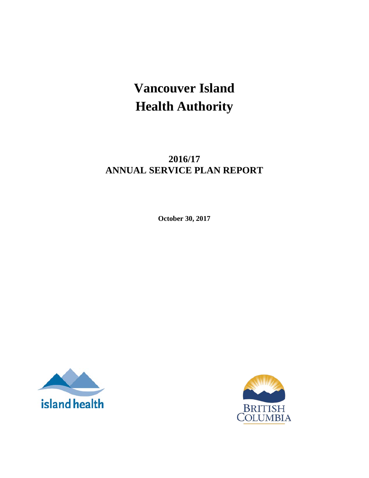# **Vancouver Island Health Authority**

## **2016/17 ANNUAL SERVICE PLAN REPORT**

**October 30, 2017**



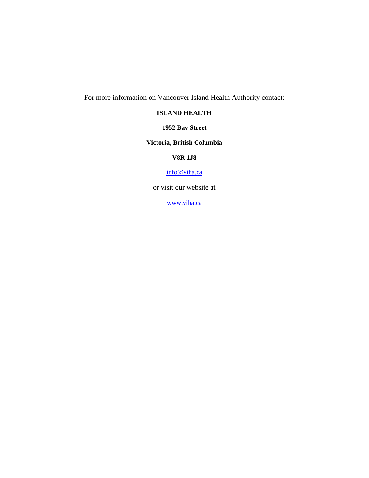For more information on Vancouver Island Health Authority contact:

#### **ISLAND HEALTH**

**1952 Bay Street**

#### **Victoria, British Columbia**

#### **V8R 1J8**

#### [info@viha.ca](mailto:info@viha.ca)

or visit our website at

[www.viha.ca](http://www.viha.ca/)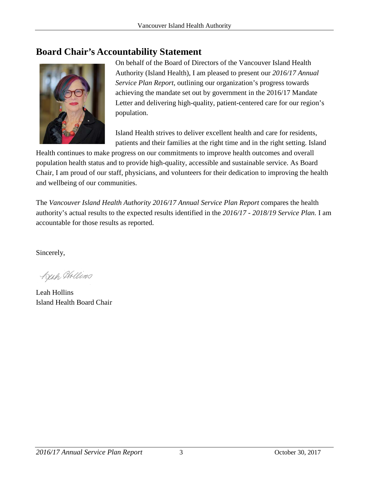## <span id="page-2-0"></span>**Board Chair's Accountability Statement**



On behalf of the Board of Directors of the Vancouver Island Health Authority (Island Health), I am pleased to present our *2016/17 Annual Service Plan Report*, outlining our organization's progress towards achieving the mandate set out by government in the 2016/17 Mandate Letter and delivering high-quality, patient-centered care for our region's population.

Island Health strives to deliver excellent health and care for residents, patients and their families at the right time and in the right setting. Island

Health continues to make progress on our commitments to improve health outcomes and overall population health status and to provide high-quality, accessible and sustainable service. As Board Chair, I am proud of our staff, physicians, and volunteers for their dedication to improving the health and wellbeing of our communities.

The *Vancouver Island Health Authority 2016/17 Annual Service Plan Report* compares the health authority's actual results to the expected results identified in the *2016/17 - 2018/19 Service Plan.* I am accountable for those results as reported.

Sincerely,

Keah Hollins

Leah Hollins Island Health Board Chair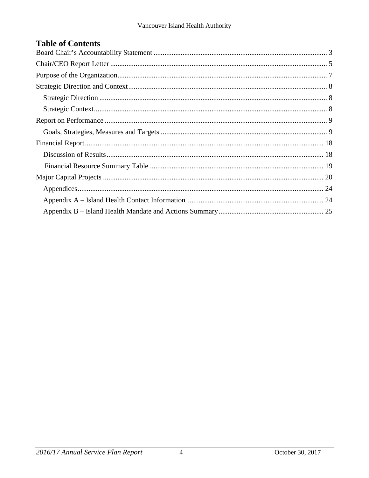#### **Table of Contents**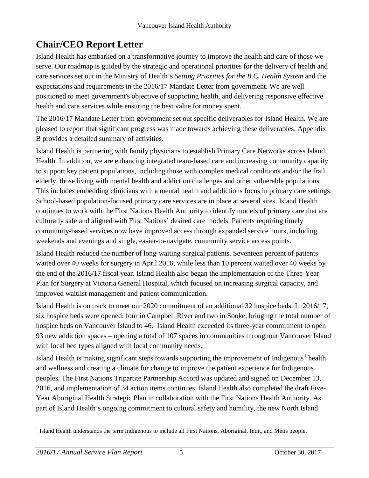## <span id="page-4-0"></span>**Chair/CEO Report Letter**

Island Health has embarked on a transformative journey to improve the health and care of those we serve. Our roadmap is guided by the strategic and operational priorities for the delivery of health and care services set out in the Ministry of Health's *Setting Priorities for the B.C. Health System* and the expectations and requirements in the 2016/17 Mandate Letter from government. We are well positioned to meet government's objective of supporting health, and delivering responsive effective health and care services while ensuring the best value for money spent.

The 2016/17 Mandate Letter from government set out specific deliverables for Island Health. We are pleased to report that significant progress was made towards achieving these deliverables. Appendix B provides a detailed summary of activities.

Island Health is partnering with family physicians to establish Primary Care Networks across Island Health. In addition, we are enhancing integrated team-based care and increasing community capacity to support key patient populations, including those with complex medical conditions and/or the frail elderly, those living with mental health and addiction challenges and other vulnerable populations. This includes embedding clinicians with a mental health and addictions focus in primary care settings. School-based population-focused primary care services are in place at several sites. Island Health continues to work with the First Nations Health Authority to identify models of primary care that are culturally safe and aligned with First Nations' desired care models. Patients requiring timely community-based services now have improved access through expanded service hours, including weekends and evenings and single, easier-to-navigate, community service access points.

Island Health reduced the number of long-waiting surgical patients. Seventeen percent of patients waited over 40 weeks for surgery in April 2016, while less than 10 percent waited over 40 weeks by the end of the 2016/17 fiscal year. Island Health also began the implementation of the Three-Year Plan for Surgery at Victoria General Hospital, which focused on increasing surgical capacity, and improved waitlist management and patient communication.

Island Health is on track to meet our 2020 commitment of an additional 32 hospice beds. In 2016/17, six hospice beds were opened: four in Campbell River and two in Sooke, bringing the total number of hospice beds on Vancouver Island to 46. Island Health exceeded its three-year commitment to open 93 new addiction spaces – opening a total of 107 spaces in communities throughout Vancouver Island with local bed types aligned with local community needs.

Island Health is making significant steps towards supporting the improvement of Indigenous<sup>[1](#page-4-1)</sup> health and wellness and creating a climate for change to improve the patient experience for Indigenous peoples. The First Nations Tripartite Partnership Accord was updated and signed on December 13, 2016, and implementation of 34 action items continues. Island Health also completed the draft Five-Year Aboriginal Health Strategic Plan in collaboration with the First Nations Health Authority. As part of Island Health's ongoing commitment to cultural safety and humility, the new North Island

<span id="page-4-1"></span><sup>&</sup>lt;sup>1</sup> Island Health understands the term Indigenous to include all First Nations, Aboriginal, Inuit, and Métis people.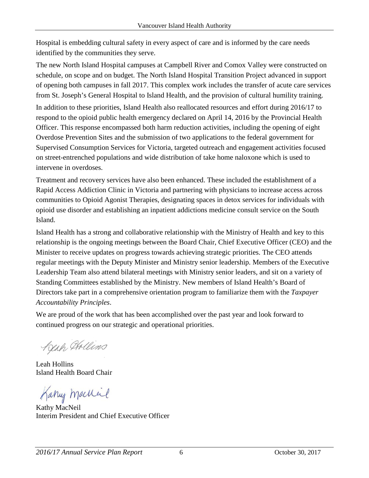Hospital is embedding cultural safety in every aspect of care and is informed by the care needs identified by the communities they serve.

The new North Island Hospital campuses at Campbell River and Comox Valley were constructed on schedule, on scope and on budget. The North Island Hospital Transition Project advanced in support of opening both campuses in fall 2017. This complex work includes the transfer of acute care services from St. Joseph's General Hospital to Island Health, and the provision of cultural humility training.

In addition to these priorities, Island Health also reallocated resources and effort during 2016/17 to respond to the opioid public health emergency declared on April 14, 2016 by the Provincial Health Officer. This response encompassed both harm reduction activities, including the opening of eight Overdose Prevention Sites and the submission of two applications to the federal government for Supervised Consumption Services for Victoria, targeted outreach and engagement activities focused on street-entrenched populations and wide distribution of take home naloxone which is used to intervene in overdoses.

Treatment and recovery services have also been enhanced. These included the establishment of a Rapid Access Addiction Clinic in Victoria and partnering with physicians to increase access across communities to Opioid Agonist Therapies, designating spaces in detox services for individuals with opioid use disorder and establishing an inpatient addictions medicine consult service on the South Island.

Island Health has a strong and collaborative relationship with the Ministry of Health and key to this relationship is the ongoing meetings between the Board Chair, Chief Executive Officer (CEO) and the Minister to receive updates on progress towards achieving strategic priorities. The CEO attends regular meetings with the Deputy Minister and Ministry senior leadership. Members of the Executive Leadership Team also attend bilateral meetings with Ministry senior leaders, and sit on a variety of Standing Committees established by the Ministry. New members of Island Health's Board of Directors take part in a comprehensive orientation program to familiarize them with the *Taxpayer Accountability Principles*.

We are proud of the work that has been accomplished over the past year and look forward to continued progress on our strategic and operational priorities.

Keah Hollins

Leah Hollins Island Health Board Chair

Kany machine

Kathy MacNeil Interim President and Chief Executive Officer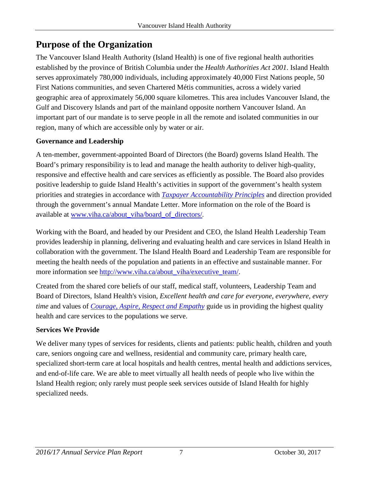## <span id="page-6-0"></span>**Purpose of the Organization**

The Vancouver Island Health Authority (Island Health) is one of five regional health authorities established by the province of British Columbia under the *Health Authorities Act 2001*. Island Health serves approximately 780,000 individuals, including approximately 40,000 First Nations people, 50 First Nations communities, and seven Chartered Métis communities, across a widely varied geographic area of approximately 56,000 square kilometres. This area includes Vancouver Island, the Gulf and Discovery Islands and part of the mainland opposite northern Vancouver Island. An important part of our mandate is to serve people in all the remote and isolated communities in our region, many of which are accessible only by water or air.

#### **Governance and Leadership**

A ten-member, government-appointed Board of Directors (the Board) governs Island Health. The Board's primary responsibility is to lead and manage the health authority to deliver high-quality, responsive and effective health and care services as efficiently as possible. The Board also provides positive leadership to guide Island Health's activities in support of the government's health system priorities and strategies in accordance with *[Taxpayer Accountability Principles](http://www.google.ca/url?sa=t&rct=j&q=&esrc=s&frm=1&source=web&cd=1&cad=rja&uact=8&ved=0CB0QFjAA&url=http%3A%2F%2Fwww2.gov.bc.ca%2Fgov%2FDownloadAsset%3FassetId%3DB613CF138959439D9A947CF3D586FE6B&ei=gw9JVfrGMNbpoAT_9YCQCw&usg=AFQjCNHQ7JBmVQU4RFfwSNu0IXc8Dh66wA&bvm=bv.92291466,d.cGU)* and direction provided through the government's annual Mandate Letter. More information on the role of the Board is available at [www.viha.ca/about\\_viha/board\\_of\\_directors/.](http://www.viha.ca/about_viha/board_of_directors/)

Working with the [Board,](http://www.viha.ca/about_viha/board_of_directors/) and headed by our President and CEO, the Island Health Leadership Team provides leadership in planning, delivering and evaluating health and care services in Island Health in collaboration with the government. The Island Health Board and Leadership Team are responsible for meeting the health needs of the population and patients in an effective and sustainable manner. For more information see [http://www.viha.ca/about\\_viha/executive\\_team/.](http://www.viha.ca/about_viha/executive_team/)

Created from the shared core beliefs of our staff, medical staff, volunteers, Leadership Team and Board of Directors, Island Health's vision, *Excellent health and care for everyone, everywhere, every time* and values of *[Courage, Aspire, Respect](http://www.viha.ca/about_viha/vision.htm) and Empathy* guide us in providing the highest quality health and care services to the populations we serve.

#### **Services We Provide**

We deliver many types of services for residents, clients and patients: public health, children and youth care, seniors ongoing care and wellness, residential and community care, primary health care, specialized short-term care at local hospitals and health centres, mental health and addictions services, and end-of-life care. We are able to meet virtually all health needs of people who live within the Island Health region; only rarely must people seek services outside of Island Health for highly specialized needs.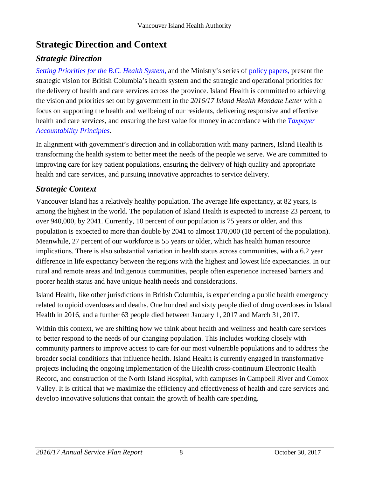## <span id="page-7-0"></span>**Strategic Direction and Context**

### <span id="page-7-1"></span>*Strategic Direction*

*[Setting Priorities for the B.C. Health System,](http://www2.gov.bc.ca/gov/topic.page?id=EF73BCF3DE34484CB4DBA9E34092402C)* and the Ministry's series of policy [papers,](http://www2.gov.bc.ca/gov/content/health/about-bc-s-health-care-system/health-priorities/setting-priorities-for-bc-health) present the strategic vision for British Columbia's health system and the strategic and operational priorities for the delivery of health and care services across the province. Island Health is committed to achieving the vision and priorities set out by government in the *2016/17 Island Health Mandate Letter* with a focus on supporting the health and wellbeing of our residents, delivering responsive and effective health and care services, and ensuring the best value for money in accordance with the *[Taxpayer](http://www.google.ca/url?sa=t&rct=j&q=&esrc=s&frm=1&source=web&cd=1&cad=rja&uact=8&ved=0CB0QFjAA&url=http%3A%2F%2Fwww2.gov.bc.ca%2Fgov%2FDownloadAsset%3FassetId%3DB613CF138959439D9A947CF3D586FE6B&ei=gw9JVfrGMNbpoAT_9YCQCw&usg=AFQjCNHQ7JBmVQU4RFfwSNu0IXc8Dh66wA&bvm=bv.92291466,d.cGU)  [Accountability Principles](http://www.google.ca/url?sa=t&rct=j&q=&esrc=s&frm=1&source=web&cd=1&cad=rja&uact=8&ved=0CB0QFjAA&url=http%3A%2F%2Fwww2.gov.bc.ca%2Fgov%2FDownloadAsset%3FassetId%3DB613CF138959439D9A947CF3D586FE6B&ei=gw9JVfrGMNbpoAT_9YCQCw&usg=AFQjCNHQ7JBmVQU4RFfwSNu0IXc8Dh66wA&bvm=bv.92291466,d.cGU)*.

In alignment with government's direction and in collaboration with many partners, Island Health is transforming the health system to better meet the needs of the people we serve. We are committed to improving care for key patient populations, ensuring the delivery of high quality and appropriate health and care services, and pursuing innovative approaches to service delivery.

### <span id="page-7-2"></span>*Strategic Context*

Vancouver Island has a relatively healthy population. The average life expectancy, at 82 years, is among the highest in the world. The population of Island Health is expected to increase 23 percent, to over 940,000, by 2041. Currently, 10 percent of our population is 75 years or older, and this population is expected to more than double by 2041 to almost 170,000 (18 percent of the population). Meanwhile, 27 percent of our workforce is 55 years or older, which has health human resource implications. There is also substantial variation in health status across communities, with a 6.2 year difference in life expectancy between the regions with the highest and lowest life expectancies. In our rural and remote areas and Indigenous communities, people often experience increased barriers and poorer health status and have unique health needs and considerations.

Island Health, like other jurisdictions in British Columbia, is experiencing a public health emergency related to opioid overdoses and deaths. One hundred and sixty people died of drug overdoses in Island Health in 2016, and a further 63 people died between January 1, 2017 and March 31, 2017.

Within this context, we are shifting how we think about health and wellness and health care services to better respond to the needs of our changing population. This includes working closely with community partners to improve access to care for our most vulnerable populations and to address the broader social conditions that influence health. Island Health is currently engaged in transformative projects including the ongoing implementation of the IHealth cross-continuum Electronic Health Record, and construction of the North Island Hospital, with campuses in Campbell River and Comox Valley. It is critical that we maximize the efficiency and effectiveness of health and care services and develop innovative solutions that contain the growth of health care spending.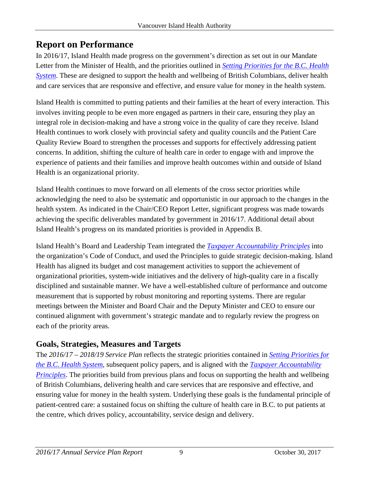## <span id="page-8-0"></span>**Report on Performance**

In 2016/17, Island Health made progress on the government's direction as set out in our Mandate Letter from the Minister of Health, and the priorities outlined in *[Setting Priorities for the B.C. Health](http://www2.gov.bc.ca/gov/topic.page?id=EF73BCF3DE34484CB4DBA9E34092402C)  [System](http://www2.gov.bc.ca/gov/topic.page?id=EF73BCF3DE34484CB4DBA9E34092402C)*. These are designed to support the health and wellbeing of British Columbians, deliver health and care services that are responsive and effective, and ensure value for money in the health system.

Island Health is committed to putting patients and their families at the heart of every interaction. This involves inviting people to be even more engaged as partners in their care, ensuring they play an integral role in decision-making and have a strong voice in the quality of care they receive. Island Health continues to work closely with provincial safety and quality councils and the Patient Care Quality Review Board to strengthen the processes and supports for effectively addressing patient concerns. In addition, shifting the culture of health care in order to engage with and improve the experience of patients and their families and improve health outcomes within and outside of Island Health is an organizational priority.

Island Health continues to move forward on all elements of the cross sector priorities while acknowledging the need to also be systematic and opportunistic in our approach to the changes in the health system. As indicated in the Chair/CEO Report Letter, significant progress was made towards achieving the specific deliverables mandated by government in 2016/17. Additional detail about Island Health's progress on its mandated priorities is provided in Appendix B.

Island Health's Board and Leadership Team integrated the *[Taxpayer Accountability Principles](http://www.google.ca/url?sa=t&rct=j&q=&esrc=s&frm=1&source=web&cd=1&cad=rja&uact=8&ved=0CB0QFjAA&url=http%3A%2F%2Fwww2.gov.bc.ca%2Fgov%2FDownloadAsset%3FassetId%3DB613CF138959439D9A947CF3D586FE6B&ei=gw9JVfrGMNbpoAT_9YCQCw&usg=AFQjCNHQ7JBmVQU4RFfwSNu0IXc8Dh66wA&bvm=bv.92291466,d.cGU)* into the organization's Code of Conduct, and used the Principles to guide strategic decision-making. Island Health has aligned its budget and cost management activities to support the achievement of organizational priorities, system-wide initiatives and the delivery of high-quality care in a fiscally disciplined and sustainable manner. We have a well-established culture of performance and outcome measurement that is supported by robust monitoring and reporting systems. There are regular meetings between the Minister and Board Chair and the Deputy Minister and CEO to ensure our continued alignment with government's strategic mandate and to regularly review the progress on each of the priority areas.

### <span id="page-8-1"></span>**Goals, Strategies, Measures and Targets**

The *2016/17 – 2018/19 Service Plan* reflects the strategic priorities contained in *[Setting Priorities for](http://www2.gov.bc.ca/gov/topic.page?id=EF73BCF3DE34484CB4DBA9E34092402C)  [the B.C. Health System](http://www2.gov.bc.ca/gov/topic.page?id=EF73BCF3DE34484CB4DBA9E34092402C)*, subsequent policy papers, and is aligned with the *[Taxpayer Accountability](http://www.google.ca/url?sa=t&rct=j&q=&esrc=s&frm=1&source=web&cd=1&cad=rja&uact=8&ved=0CB0QFjAA&url=http%3A%2F%2Fwww2.gov.bc.ca%2Fgov%2FDownloadAsset%3FassetId%3DB613CF138959439D9A947CF3D586FE6B&ei=gw9JVfrGMNbpoAT_9YCQCw&usg=AFQjCNHQ7JBmVQU4RFfwSNu0IXc8Dh66wA&bvm=bv.92291466,d.cGU)  [Principles](http://www.google.ca/url?sa=t&rct=j&q=&esrc=s&frm=1&source=web&cd=1&cad=rja&uact=8&ved=0CB0QFjAA&url=http%3A%2F%2Fwww2.gov.bc.ca%2Fgov%2FDownloadAsset%3FassetId%3DB613CF138959439D9A947CF3D586FE6B&ei=gw9JVfrGMNbpoAT_9YCQCw&usg=AFQjCNHQ7JBmVQU4RFfwSNu0IXc8Dh66wA&bvm=bv.92291466,d.cGU)*. The priorities build from previous plans and focus on supporting the health and wellbeing of British Columbians, delivering health and care services that are responsive and effective, and ensuring value for money in the health system. Underlying these goals is the fundamental principle of patient-centred care: a sustained focus on shifting the culture of health care in B.C. to put patients at the centre, which drives policy, accountability, service design and delivery.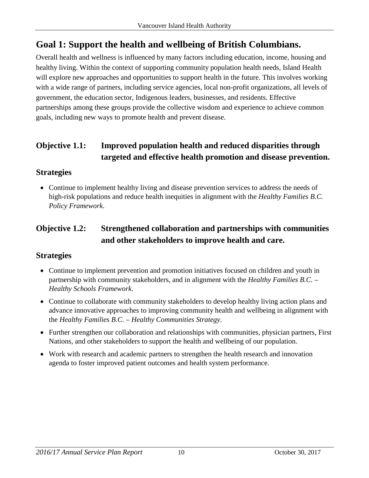## **Goal 1: Support the health and wellbeing of British Columbians.**

Overall health and wellness is influenced by many factors including education, income, housing and healthy living. Within the context of supporting community population health needs, Island Health will explore new approaches and opportunities to support health in the future. This involves working with a wide range of partners, including service agencies, local non-profit organizations, all levels of government, the education sector, Indigenous leaders, businesses, and residents. Effective partnerships among these groups provide the collective wisdom and experience to achieve common goals, including new ways to promote health and prevent disease.

### **Objective 1.1: Improved population health and reduced disparities through targeted and effective health promotion and disease prevention.**

#### **Strategies**

• Continue to implement healthy living and disease prevention services to address the needs of high-risk populations and reduce health inequities in alignment with the *Healthy Families B.C. Policy Framework*.

### **Objective 1.2: Strengthened collaboration and partnerships with communities and other stakeholders to improve health and care.**

#### **Strategies**

- Continue to implement prevention and promotion initiatives focused on children and youth in partnership with community stakeholders, and in alignment with the *Healthy Families B.C. – Healthy Schools Framework*.
- Continue to collaborate with community stakeholders to develop healthy living action plans and advance innovative approaches to improving community health and wellbeing in alignment with the *Healthy Families B.C. – Healthy Communities Strategy*.
- Further strengthen our collaboration and relationships with communities, physician partners, First Nations, and other stakeholders to support the health and wellbeing of our population.
- Work with research and academic partners to strengthen the health research and innovation agenda to foster improved patient outcomes and health system performance.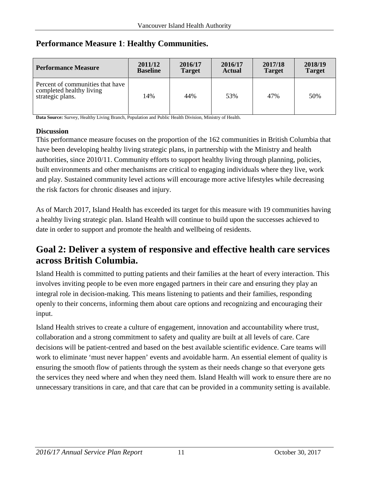| <b>Performance Measure</b>                                                       | 2011/12         | 2016/17       | 2016/17       | 2017/18       | 2018/19       |
|----------------------------------------------------------------------------------|-----------------|---------------|---------------|---------------|---------------|
|                                                                                  | <b>Baseline</b> | <b>Target</b> | <b>Actual</b> | <b>Target</b> | <b>Target</b> |
| Percent of communities that have<br>completed healthy living<br>strategic plans. | 14%             | 44%           | 53%           | 47%           | 50%           |

#### **Performance Measure 1**: **Healthy Communities.**

**Data Source:** Survey, Healthy Living Branch, Population and Public Health Division, Ministry of Health.

#### **Discussion**

This performance measure focuses on the proportion of the 162 communities in British Columbia that have been developing healthy living strategic plans, in partnership with the Ministry and health authorities, since 2010/11. Community efforts to support healthy living through planning, policies, built environments and other mechanisms are critical to engaging individuals where they live, work and play. Sustained community level actions will encourage more active lifestyles while decreasing the risk factors for chronic diseases and injury.

As of March 2017, Island Health has exceeded its target for this measure with 19 communities having a healthy living strategic plan. Island Health will continue to build upon the successes achieved to date in order to support and promote the health and wellbeing of residents.

## **Goal 2: Deliver a system of responsive and effective health care services across British Columbia.**

Island Health is committed to putting patients and their families at the heart of every interaction. This involves inviting people to be even more engaged partners in their care and ensuring they play an integral role in decision-making. This means listening to patients and their families, responding openly to their concerns, informing them about care options and recognizing and encouraging their input.

Island Health strives to create a culture of engagement, innovation and accountability where trust, collaboration and a strong commitment to safety and quality are built at all levels of care. Care decisions will be patient-centred and based on the best available scientific evidence. Care teams will work to eliminate 'must never happen' events and avoidable harm. An essential element of quality is ensuring the smooth flow of patients through the system as their needs change so that everyone gets the services they need where and when they need them. Island Health will work to ensure there are no unnecessary transitions in care, and that care that can be provided in a community setting is available.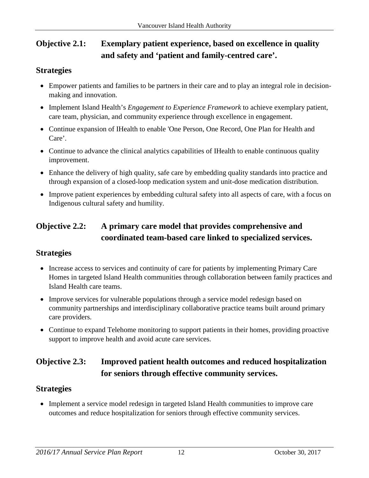### **Objective 2.1: Exemplary patient experience, based on excellence in quality and safety and 'patient and family-centred care'.**

#### **Strategies**

- Empower patients and families to be partners in their care and to play an integral role in decisionmaking and innovation.
- Implement Island Health's *Engagement to Experience Framework* to achieve exemplary patient, care team, physician, and community experience through excellence in engagement.
- Continue expansion of IHealth to enable 'One Person, One Record, One Plan for Health and Care'.
- Continue to advance the clinical analytics capabilities of IHealth to enable continuous quality improvement.
- Enhance the delivery of high quality, safe care by embedding quality standards into practice and through expansion of a closed-loop medication system and unit-dose medication distribution.
- Improve patient experiences by embedding cultural safety into all aspects of care, with a focus on Indigenous cultural safety and humility.

### **Objective 2.2: A primary care model that provides comprehensive and coordinated team-based care linked to specialized services.**

#### **Strategies**

- Increase access to services and continuity of care for patients by implementing Primary Care Homes in targeted Island Health communities through collaboration between family practices and Island Health care teams.
- Improve services for vulnerable populations through a service model redesign based on community partnerships and interdisciplinary collaborative practice teams built around primary care providers.
- Continue to expand Telehome monitoring to support patients in their homes, providing proactive support to improve health and avoid acute care services.

### **Objective 2.3: Improved patient health outcomes and reduced hospitalization for seniors through effective community services.**

#### **Strategies**

• Implement a service model redesign in targeted Island Health communities to improve care outcomes and reduce hospitalization for seniors through effective community services.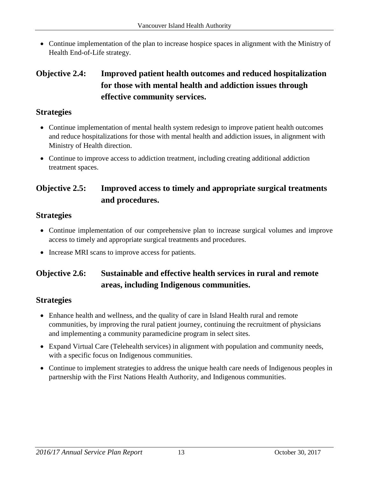• Continue implementation of the plan to increase hospice spaces in alignment with the Ministry of Health End-of-Life strategy.

### **Objective 2.4: Improved patient health outcomes and reduced hospitalization for those with mental health and addiction issues through effective community services.**

#### **Strategies**

- Continue implementation of mental health system redesign to improve patient health outcomes and reduce hospitalizations for those with mental health and addiction issues, in alignment with Ministry of Health direction.
- Continue to improve access to addiction treatment, including creating additional addiction treatment spaces.

### **Objective 2.5: Improved access to timely and appropriate surgical treatments and procedures.**

#### **Strategies**

- Continue implementation of our comprehensive plan to increase surgical volumes and improve access to timely and appropriate surgical treatments and procedures.
- Increase MRI scans to improve access for patients.

### **Objective 2.6: Sustainable and effective health services in rural and remote areas, including Indigenous communities.**

#### **Strategies**

- Enhance health and wellness, and the quality of care in Island Health rural and remote communities, by improving the rural patient journey, continuing the recruitment of physicians and implementing a community paramedicine program in select sites.
- Expand Virtual Care (Telehealth services) in alignment with population and community needs, with a specific focus on Indigenous communities.
- Continue to implement strategies to address the unique health care needs of Indigenous peoples in partnership with the First Nations Health Authority, and Indigenous communities.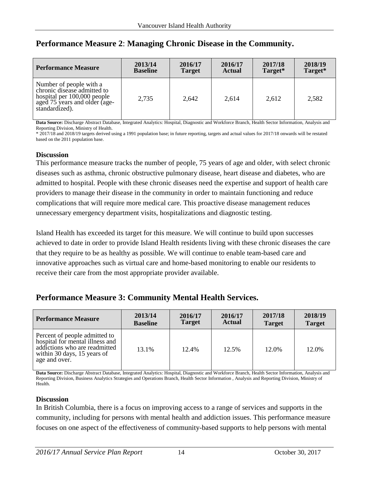| <b>Performance Measure</b>                                                                                                               | 2013/14         | 2016/17       | 2016/17       | 2017/18 | 2018/19 |
|------------------------------------------------------------------------------------------------------------------------------------------|-----------------|---------------|---------------|---------|---------|
|                                                                                                                                          | <b>Baseline</b> | <b>Target</b> | <b>Actual</b> | Target* | Target* |
| Number of people with a<br>chronic disease admitted to<br>hospital per 100,000 people<br>aged 75 years and older (age-<br>standardized). | 2,735           | 2,642         | 2,614         | 2,612   | 2,582   |

#### **Performance Measure 2**: **Managing Chronic Disease in the Community.**

**Data Source:** Discharge Abstract Database, Integrated Analytics: Hospital, Diagnostic and Workforce Branch, Health Sector Information, Analysis and Reporting Division, Ministry of Health.

\* 2017/18 and 2018/19 targets derived using a 1991 population base; in future reporting, targets and actual values for 2017/18 onwards will be restated based on the 2011 population base.

#### **Discussion**

This performance measure tracks the number of people, 75 years of age and older, with select chronic diseases such as asthma, chronic obstructive pulmonary disease, heart disease and diabetes, who are admitted to hospital. People with these chronic diseases need the expertise and support of health care providers to manage their disease in the community in order to maintain functioning and reduce complications that will require more medical care. This proactive disease management reduces unnecessary emergency department visits, hospitalizations and diagnostic testing.

Island Health has exceeded its target for this measure. We will continue to build upon successes achieved to date in order to provide Island Health residents living with these chronic diseases the care that they require to be as healthy as possible. We will continue to enable team-based care and innovative approaches such as virtual care and home-based monitoring to enable our residents to receive their care from the most appropriate provider available.

#### **Performance Measure 3: Community Mental Health Services.**

| <b>Performance Measure</b>                                                                                                                        | 2013/14         | 2016/17       | 2016/17       | 2017/18       | 2018/19       |
|---------------------------------------------------------------------------------------------------------------------------------------------------|-----------------|---------------|---------------|---------------|---------------|
|                                                                                                                                                   | <b>Baseline</b> | <b>Target</b> | <b>Actual</b> | <b>Target</b> | <b>Target</b> |
| Percent of people admitted to<br>hospital for mental illness and<br>addictions who are readmitted<br>within 30 days, 15 years of<br>age and over. | 13.1%           | 12.4%         | 12.5%         | 12.0%         | 12.0%         |

**Data Source:** Discharge Abstract Database, Integrated Analytics: Hospital, Diagnostic and Workforce Branch, Health Sector Information, Analysis and Reporting Division, Business Analytics Strategies and Operations Branch, Health Sector Information , Analysis and Reporting Division, Ministry of Health.

#### **Discussion**

In British Columbia, there is a focus on improving access to a range of services and supports in the community, including for persons with mental health and addiction issues. This performance measure focuses on one aspect of the effectiveness of community-based supports to help persons with mental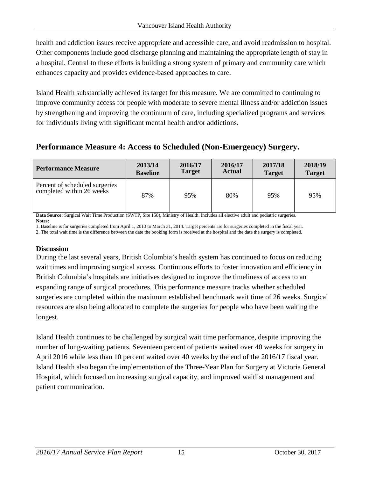health and addiction issues receive appropriate and accessible care, and avoid readmission to hospital. Other components include good discharge planning and maintaining the appropriate length of stay in a hospital. Central to these efforts is building a strong system of primary and community care which enhances capacity and provides evidence-based approaches to care.

Island Health substantially achieved its target for this measure. We are committed to continuing to improve community access for people with moderate to severe mental illness and/or addiction issues by strengthening and improving the continuum of care, including specialized programs and services for individuals living with significant mental health and/or addictions.

### **Performance Measure 4: Access to Scheduled (Non-Emergency) Surgery.**

| <b>Performance Measure</b>                                  | 2013/14         | 2016/17       | 2016/17       | 2017/18       | 2018/19       |
|-------------------------------------------------------------|-----------------|---------------|---------------|---------------|---------------|
|                                                             | <b>Baseline</b> | <b>Target</b> | <b>Actual</b> | <b>Target</b> | <b>Target</b> |
| Percent of scheduled surgeries<br>completed within 26 weeks | 87%             | 95%           | 80%           | 95%           | 95%           |

**Data Source:** Surgical Wait Time Production (SWTP, Site 158), Ministry of Health. Includes all elective adult and pediatric surgeries. **Notes:**

1. Baseline is for surgeries completed from April 1, 2013 to March 31, 2014. Target percents are for surgeries completed in the fiscal year.

2. The total wait time is the difference between the date the booking form is received at the hospital and the date the surgery is completed.

#### **Discussion**

During the last several years, British Columbia's health system has continued to focus on reducing wait times and improving surgical access. Continuous efforts to foster innovation and efficiency in British Columbia's hospitals are initiatives designed to improve the timeliness of access to an expanding range of surgical procedures. This performance measure tracks whether scheduled surgeries are completed within the maximum established benchmark wait time of 26 weeks. Surgical resources are also being allocated to complete the surgeries for people who have been waiting the longest.

Island Health continues to be challenged by surgical wait time performance, despite improving the number of long-waiting patients. Seventeen percent of patients waited over 40 weeks for surgery in April 2016 while less than 10 percent waited over 40 weeks by the end of the 2016/17 fiscal year. Island Health also began the implementation of the Three-Year Plan for Surgery at Victoria General Hospital, which focused on increasing surgical capacity, and improved waitlist management and patient communication.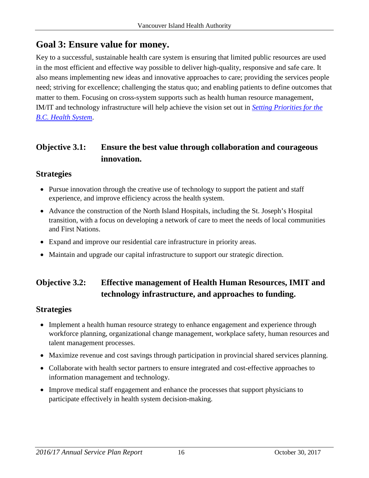### **Goal 3: Ensure value for money.**

Key to a successful, sustainable health care system is ensuring that limited public resources are used in the most efficient and effective way possible to deliver high-quality, responsive and safe care. It also means implementing new ideas and innovative approaches to care; providing the services people need; striving for excellence; challenging the status quo; and enabling patients to define outcomes that matter to them. Focusing on cross-system supports such as health human resource management, IM/IT and technology infrastructure will help achieve the vision set out in *[Setting Priorities for the](http://www2.gov.bc.ca/gov/topic.page?id=EF73BCF3DE34484CB4DBA9E34092402C)  [B.C. Health System](http://www2.gov.bc.ca/gov/topic.page?id=EF73BCF3DE34484CB4DBA9E34092402C)*.

### **Objective 3.1: Ensure the best value through collaboration and courageous innovation.**

#### **Strategies**

- Pursue innovation through the creative use of technology to support the patient and staff experience, and improve efficiency across the health system.
- Advance the construction of the North Island Hospitals, including the St. Joseph's Hospital transition, with a focus on developing a network of care to meet the needs of local communities and First Nations.
- Expand and improve our residential care infrastructure in priority areas.
- Maintain and upgrade our capital infrastructure to support our strategic direction.

### **Objective 3.2: Effective management of Health Human Resources, IMIT and technology infrastructure, and approaches to funding.**

#### **Strategies**

- Implement a health human resource strategy to enhance engagement and experience through workforce planning, organizational change management, workplace safety, human resources and talent management processes.
- Maximize revenue and cost savings through participation in provincial shared services planning.
- Collaborate with health sector partners to ensure integrated and cost-effective approaches to information management and technology.
- Improve medical staff engagement and enhance the processes that support physicians to participate effectively in health system decision-making.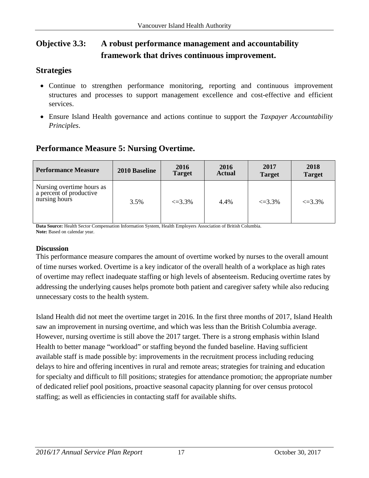### **Objective 3.3: A robust performance management and accountability framework that drives continuous improvement.**

#### **Strategies**

- Continue to strengthen performance monitoring, reporting and continuous improvement structures and processes to support management excellence and cost-effective and efficient services.
- Ensure Island Health governance and actions continue to support the *Taxpayer Accountability Principles*.

### **Performance Measure 5: Nursing Overtime.**

| <b>Performance Measure</b>                                            | 2010 Baseline | 2016<br><b>Target</b> | 2016<br><b>Actual</b> | 2017<br><b>Target</b> | 2018<br><b>Target</b> |
|-----------------------------------------------------------------------|---------------|-----------------------|-----------------------|-----------------------|-----------------------|
| Nursing overtime hours as<br>a percent of productive<br>nursing hours | 3.5%          | $\leq 3.3\%$          | 4.4%                  | $\leq 3.3\%$          | $\leq 3.3\%$          |

**Data Source:** Health Sector Compensation Information System, Health Employers Association of British Columbia. **Note:** Based on calendar year.

#### **Discussion**

This performance measure compares the amount of overtime worked by nurses to the overall amount of time nurses worked. Overtime is a key indicator of the overall health of a workplace as high rates of overtime may reflect inadequate staffing or high levels of absenteeism. Reducing overtime rates by addressing the underlying causes helps promote both patient and caregiver safety while also reducing unnecessary costs to the health system.

Island Health did not meet the overtime target in 2016. In the first three months of 2017, Island Health saw an improvement in nursing overtime, and which was less than the British Columbia average. However, nursing overtime is still above the 2017 target. There is a strong emphasis within Island Health to better manage "workload" or staffing beyond the funded baseline. Having sufficient available staff is made possible by: improvements in the recruitment process including reducing delays to hire and offering incentives in rural and remote areas; strategies for training and education for specialty and difficult to fill positions; strategies for attendance promotion; the appropriate number of dedicated relief pool positions, proactive seasonal capacity planning for over census protocol staffing; as well as efficiencies in contacting staff for available shifts.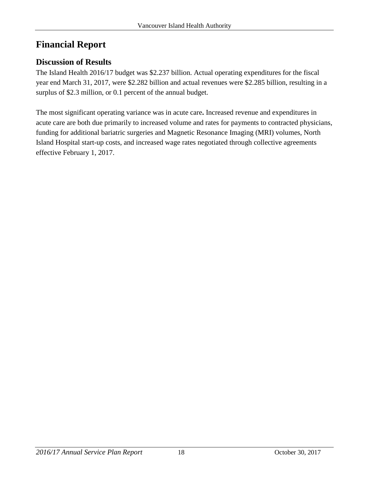## <span id="page-17-0"></span>**Financial Report**

#### <span id="page-17-1"></span>**Discussion of Results**

The Island Health 2016/17 budget was \$2.237 billion. Actual operating expenditures for the fiscal year end March 31, 2017, were \$2.282 billion and actual revenues were \$2.285 billion, resulting in a surplus of \$2.3 million, or 0.1 percent of the annual budget.

The most significant operating variance was in acute care**.** Increased revenue and expenditures in acute care are both due primarily to increased volume and rates for payments to contracted physicians, funding for additional bariatric surgeries and Magnetic Resonance Imaging (MRI) volumes, North Island Hospital start-up costs, and increased wage rates negotiated through collective agreements effective February 1, 2017.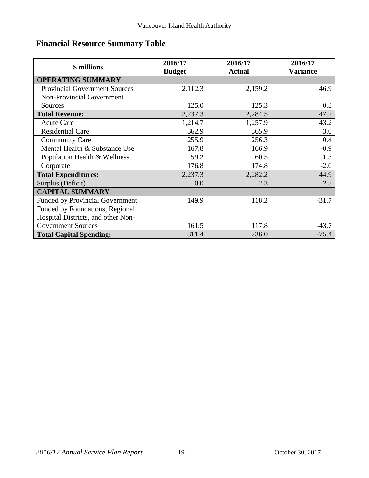## <span id="page-18-0"></span>**Financial Resource Summary Table**

| \$ millions                            | 2016/17<br><b>Budget</b> | 2016/17<br><b>Actual</b> | 2016/17<br><b>Variance</b> |  |  |
|----------------------------------------|--------------------------|--------------------------|----------------------------|--|--|
| <b>OPERATING SUMMARY</b>               |                          |                          |                            |  |  |
| <b>Provincial Government Sources</b>   | 2,112.3                  | 2,159.2                  | 46.9                       |  |  |
| Non-Provincial Government              |                          |                          |                            |  |  |
| Sources                                | 125.0                    | 125.3                    | 0.3                        |  |  |
| <b>Total Revenue:</b>                  | 2,237.3                  | 2,284.5                  | 47.2                       |  |  |
| <b>Acute Care</b>                      | 1,214.7                  | 1,257.9                  | 43.2                       |  |  |
| <b>Residential Care</b>                | 362.9                    | 365.9                    | 3.0                        |  |  |
| <b>Community Care</b>                  | 255.9                    | 256.3                    | 0.4                        |  |  |
| Mental Health & Substance Use          | 167.8                    | 166.9                    | $-0.9$                     |  |  |
| Population Health & Wellness           | 59.2                     | 60.5                     | 1.3                        |  |  |
| Corporate                              | 176.8                    | 174.8                    | $-2.0$                     |  |  |
| <b>Total Expenditures:</b>             | 2,237.3                  | 2,282.2                  | 44.9                       |  |  |
| Surplus (Deficit)                      | 0.0                      | 2.3                      | 2.3                        |  |  |
| <b>CAPITAL SUMMARY</b>                 |                          |                          |                            |  |  |
| <b>Funded by Provincial Government</b> | 149.9                    | 118.2                    | $-31.7$                    |  |  |
| Funded by Foundations, Regional        |                          |                          |                            |  |  |
| Hospital Districts, and other Non-     |                          |                          |                            |  |  |
| <b>Government Sources</b>              | 161.5                    | 117.8                    | $-43.7$                    |  |  |
| <b>Total Capital Spending:</b>         | 311.4                    | 236.0                    | $-75.4$                    |  |  |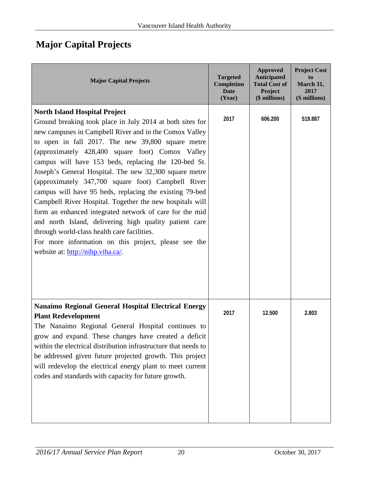## <span id="page-19-0"></span>**Major Capital Projects**

| <b>Major Capital Projects</b>                                                                                                                                                                                                                                                                                                                                                                                                                                                                                                                                                                                                                                                                                                                                                                                                        | <b>Targeted</b><br><b>Completion</b><br><b>Date</b><br>(Year) | <b>Approved</b><br><b>Anticipated</b><br><b>Total Cost of</b><br>Project<br>(\$ millions) | <b>Project Cost</b><br>to<br>March 31,<br>2017<br>(S millions) |
|--------------------------------------------------------------------------------------------------------------------------------------------------------------------------------------------------------------------------------------------------------------------------------------------------------------------------------------------------------------------------------------------------------------------------------------------------------------------------------------------------------------------------------------------------------------------------------------------------------------------------------------------------------------------------------------------------------------------------------------------------------------------------------------------------------------------------------------|---------------------------------------------------------------|-------------------------------------------------------------------------------------------|----------------------------------------------------------------|
| <b>North Island Hospital Project</b><br>Ground breaking took place in July 2014 at both sites for<br>new campuses in Campbell River and in the Comox Valley<br>to open in fall 2017. The new 39,800 square metre<br>(approximately 428,400 square foot) Comox Valley<br>campus will have 153 beds, replacing the 120-bed St.<br>Joseph's General Hospital. The new 32,300 square metre<br>(approximately 347,700 square foot) Campbell River<br>campus will have 95 beds, replacing the existing 79-bed<br>Campbell River Hospital. Together the new hospitals will<br>form an enhanced integrated network of care for the mid<br>and north Island, delivering high quality patient care<br>through world-class health care facilities.<br>For more information on this project, please see the<br>website at: http://nihp.viha.ca/. | 2017                                                          | 606.200                                                                                   | 519.887                                                        |
| Nanaimo Regional General Hospital Electrical Energy<br><b>Plant Redevelopment</b><br>The Nanaimo Regional General Hospital continues to<br>grow and expand. These changes have created a deficit<br>within the electrical distribution infrastructure that needs to<br>be addressed given future projected growth. This project<br>will redevelop the electrical energy plant to meet current<br>codes and standards with capacity for future growth.                                                                                                                                                                                                                                                                                                                                                                                | 2017                                                          | 12.500                                                                                    | 2.803                                                          |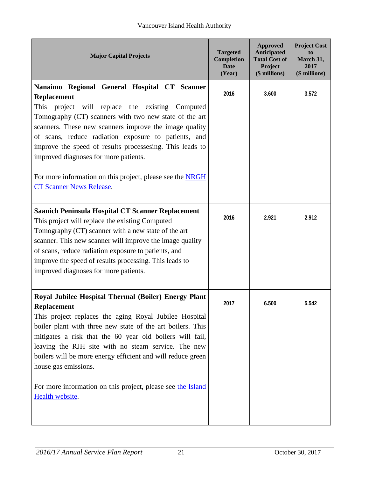| <b>Major Capital Projects</b>                                                                                                                                                                                                                                                                                                                                                                                                                                                                             | <b>Targeted</b><br><b>Completion</b><br><b>Date</b><br>(Year) | <b>Approved</b><br><b>Anticipated</b><br><b>Total Cost of</b><br>Project<br>(\$ millions) | <b>Project Cost</b><br>to<br>March 31,<br>2017<br>(S millions) |
|-----------------------------------------------------------------------------------------------------------------------------------------------------------------------------------------------------------------------------------------------------------------------------------------------------------------------------------------------------------------------------------------------------------------------------------------------------------------------------------------------------------|---------------------------------------------------------------|-------------------------------------------------------------------------------------------|----------------------------------------------------------------|
| Nanaimo Regional General Hospital CT Scanner<br><b>Replacement</b><br>This<br>project will replace the existing Computed<br>Tomography (CT) scanners with two new state of the art<br>scanners. These new scanners improve the image quality<br>of scans, reduce radiation exposure to patients, and<br>improve the speed of results processesing. This leads to<br>improved diagnoses for more patients.<br>For more information on this project, please see the NRGH<br><b>CT Scanner News Release.</b> | 2016                                                          | 3.600                                                                                     | 3.572                                                          |
| <b>Saanich Peninsula Hospital CT Scanner Replacement</b><br>This project will replace the existing Computed<br>Tomography (CT) scanner with a new state of the art<br>scanner. This new scanner will improve the image quality<br>of scans, reduce radiation exposure to patients, and<br>improve the speed of results processing. This leads to<br>improved diagnoses for more patients.                                                                                                                 | 2016                                                          | 2.921                                                                                     | 2.912                                                          |
| Royal Jubilee Hospital Thermal (Boiler) Energy Plant<br><b>Replacement</b><br>This project replaces the aging Royal Jubilee Hospital<br>boiler plant with three new state of the art boilers. This<br>mitigates a risk that the 60 year old boilers will fail,<br>leaving the RJH site with no steam service. The new<br>boilers will be more energy efficient and will reduce green<br>house gas emissions.<br>For more information on this project, please see the Island<br>Health website.            | 2017                                                          | 6.500                                                                                     | 5.542                                                          |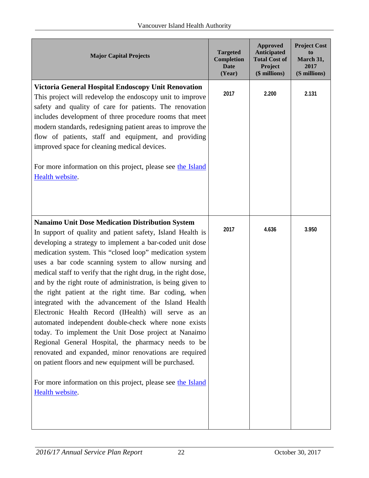| <b>Major Capital Projects</b>                                                                                                                                                                                                                                                                                                                                                                                                                                                                                                                                                                                                                                                                                                                                                                                                                                                                                                                                                               | <b>Targeted</b><br><b>Completion</b><br><b>Date</b><br>(Year) | <b>Approved</b><br><b>Anticipated</b><br><b>Total Cost of</b><br>Project<br>(\$ millions) | <b>Project Cost</b><br>to<br>March 31,<br>2017<br>(S millions) |
|---------------------------------------------------------------------------------------------------------------------------------------------------------------------------------------------------------------------------------------------------------------------------------------------------------------------------------------------------------------------------------------------------------------------------------------------------------------------------------------------------------------------------------------------------------------------------------------------------------------------------------------------------------------------------------------------------------------------------------------------------------------------------------------------------------------------------------------------------------------------------------------------------------------------------------------------------------------------------------------------|---------------------------------------------------------------|-------------------------------------------------------------------------------------------|----------------------------------------------------------------|
| <b>Victoria General Hospital Endoscopy Unit Renovation</b><br>This project will redevelop the endoscopy unit to improve<br>safety and quality of care for patients. The renovation<br>includes development of three procedure rooms that meet<br>modern standards, redesigning patient areas to improve the<br>flow of patients, staff and equipment, and providing<br>improved space for cleaning medical devices.<br>For more information on this project, please see the Island<br>Health website.                                                                                                                                                                                                                                                                                                                                                                                                                                                                                       | 2017                                                          | 2.200                                                                                     | 2.131                                                          |
| <b>Nanaimo Unit Dose Medication Distribution System</b><br>In support of quality and patient safety, Island Health is<br>developing a strategy to implement a bar-coded unit dose<br>medication system. This "closed loop" medication system<br>uses a bar code scanning system to allow nursing and<br>medical staff to verify that the right drug, in the right dose,<br>and by the right route of administration, is being given to<br>the right patient at the right time. Bar coding, when<br>integrated with the advancement of the Island Health<br>Electronic Health Record (IHealth) will serve as an<br>automated independent double-check where none exists<br>today. To implement the Unit Dose project at Nanaimo<br>Regional General Hospital, the pharmacy needs to be<br>renovated and expanded, minor renovations are required<br>on patient floors and new equipment will be purchased.<br>For more information on this project, please see the Island<br>Health website. | 2017                                                          | 4.636                                                                                     | 3.950                                                          |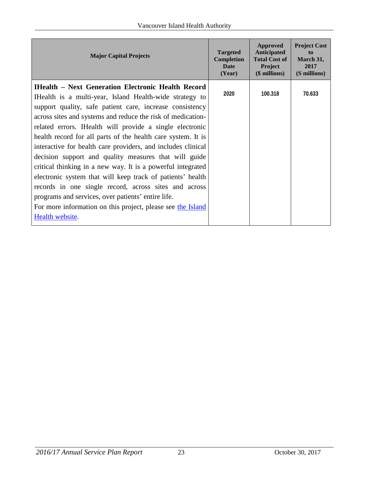| <b>Major Capital Projects</b>                                                                                                                                                                                                                                                                                                                                                                                                                                                                                                                                                                                                                                                                                                                                                                                                       | <b>Targeted</b><br><b>Completion</b><br><b>Date</b><br>(Year) | Approved<br><b>Anticipated</b><br><b>Total Cost of</b><br>Project<br>$($$ millions $)$ | <b>Project Cost</b><br>to<br>March 31,<br>2017<br>(S millions) |
|-------------------------------------------------------------------------------------------------------------------------------------------------------------------------------------------------------------------------------------------------------------------------------------------------------------------------------------------------------------------------------------------------------------------------------------------------------------------------------------------------------------------------------------------------------------------------------------------------------------------------------------------------------------------------------------------------------------------------------------------------------------------------------------------------------------------------------------|---------------------------------------------------------------|----------------------------------------------------------------------------------------|----------------------------------------------------------------|
| <b>IHealth - Next Generation Electronic Health Record</b><br>I Health is a multi-year, Island Health-wide strategy to<br>support quality, safe patient care, increase consistency<br>across sites and systems and reduce the risk of medication-<br>related errors. IHealth will provide a single electronic<br>health record for all parts of the health care system. It is<br>interactive for health care providers, and includes clinical<br>decision support and quality measures that will guide<br>critical thinking in a new way. It is a powerful integrated<br>electronic system that will keep track of patients' health<br>records in one single record, across sites and across<br>programs and services, over patients' entire life.<br>For more information on this project, please see the Island<br>Health website. | 2020                                                          | 100.318                                                                                | 70.633                                                         |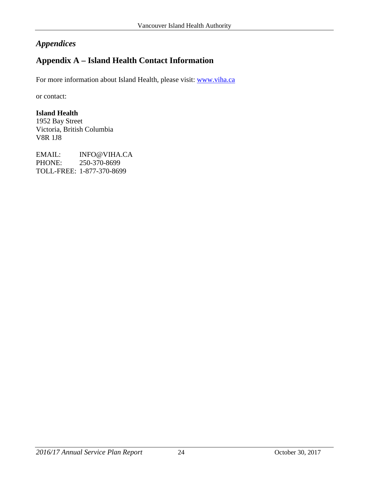#### <span id="page-23-0"></span>*Appendices*

### <span id="page-23-1"></span>**Appendix A – Island Health Contact Information**

For more information about Island Health, please visit: [www.viha.ca](http://www.viha.ca/)

or contact:

#### **Island Health**

1952 Bay Street Victoria, British Columbia V8R 1J8

EMAIL: INFO@VIHA.CA PHONE: 250-370-8699 TOLL-FREE: 1-877-370-8699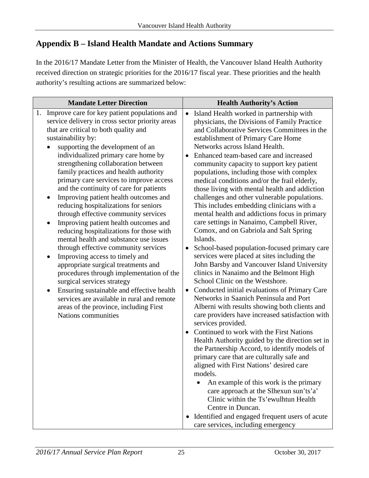#### <span id="page-24-0"></span>**Appendix B – Island Health Mandate and Actions Summary**

In the 2016/17 Mandate Letter from the Minister of Health, the Vancouver Island Health Authority received direction on strategic priorities for the 2016/17 fiscal year. These priorities and the health authority's resulting actions are summarized below:

| <b>Mandate Letter Direction</b>                                                                                                                                                                                                                                                                                                                                                                                                                                                                                                                                                                                                                                                                                                                                                                                                                                                                                                                                                                                                                 | <b>Health Authority's Action</b>                                                                                                                                                                                                                                                                                                                                                                                                                                                                                                                                                                                                                                                                                                                                                                                                                                                                                                                                                                                                                                                                                                                                                                                                                                                                                                                                                                                                                                                                                                                                                                                                                                                |
|-------------------------------------------------------------------------------------------------------------------------------------------------------------------------------------------------------------------------------------------------------------------------------------------------------------------------------------------------------------------------------------------------------------------------------------------------------------------------------------------------------------------------------------------------------------------------------------------------------------------------------------------------------------------------------------------------------------------------------------------------------------------------------------------------------------------------------------------------------------------------------------------------------------------------------------------------------------------------------------------------------------------------------------------------|---------------------------------------------------------------------------------------------------------------------------------------------------------------------------------------------------------------------------------------------------------------------------------------------------------------------------------------------------------------------------------------------------------------------------------------------------------------------------------------------------------------------------------------------------------------------------------------------------------------------------------------------------------------------------------------------------------------------------------------------------------------------------------------------------------------------------------------------------------------------------------------------------------------------------------------------------------------------------------------------------------------------------------------------------------------------------------------------------------------------------------------------------------------------------------------------------------------------------------------------------------------------------------------------------------------------------------------------------------------------------------------------------------------------------------------------------------------------------------------------------------------------------------------------------------------------------------------------------------------------------------------------------------------------------------|
| Improve care for key patient populations and<br>1.<br>service delivery in cross sector priority areas<br>that are critical to both quality and<br>sustainability by:<br>supporting the development of an<br>individualized primary care home by<br>strengthening collaboration between<br>family practices and health authority<br>primary care services to improve access<br>and the continuity of care for patients<br>Improving patient health outcomes and<br>reducing hospitalizations for seniors<br>through effective community services<br>Improving patient health outcomes and<br>reducing hospitalizations for those with<br>mental health and substance use issues<br>through effective community services<br>Improving access to timely and<br>٠<br>appropriate surgical treatments and<br>procedures through implementation of the<br>surgical services strategy<br>Ensuring sustainable and effective health<br>٠<br>services are available in rural and remote<br>areas of the province, including First<br>Nations communities | Island Health worked in partnership with<br>$\bullet$<br>physicians, the Divisions of Family Practice<br>and Collaborative Services Committees in the<br>establishment of Primary Care Home<br>Networks across Island Health.<br>Enhanced team-based care and increased<br>$\bullet$<br>community capacity to support key patient<br>populations, including those with complex<br>medical conditions and/or the frail elderly,<br>those living with mental health and addiction<br>challenges and other vulnerable populations.<br>This includes embedding clinicians with a<br>mental health and addictions focus in primary<br>care settings in Nanaimo, Campbell River,<br>Comox, and on Gabriola and Salt Spring<br>Islands.<br>School-based population-focused primary care<br>services were placed at sites including the<br>John Barsby and Vancouver Island University<br>clinics in Nanaimo and the Belmont High<br>School Clinic on the Westshore.<br>Conducted initial evaluations of Primary Care<br>$\bullet$<br>Networks in Saanich Peninsula and Port<br>Alberni with results showing both clients and<br>care providers have increased satisfaction with<br>services provided.<br>Continued to work with the First Nations<br>$\bullet$<br>Health Authority guided by the direction set in<br>the Partnership Accord, to identify models of<br>primary care that are culturally safe and<br>aligned with First Nations' desired care<br>models.<br>An example of this work is the primary<br>care approach at the Slhexun sun'ts'a'<br>Clinic within the Ts'ewulhtun Health<br>Centre in Duncan.<br>Identified and engaged frequent users of acute<br>$\bullet$ |
|                                                                                                                                                                                                                                                                                                                                                                                                                                                                                                                                                                                                                                                                                                                                                                                                                                                                                                                                                                                                                                                 | care services, including emergency                                                                                                                                                                                                                                                                                                                                                                                                                                                                                                                                                                                                                                                                                                                                                                                                                                                                                                                                                                                                                                                                                                                                                                                                                                                                                                                                                                                                                                                                                                                                                                                                                                              |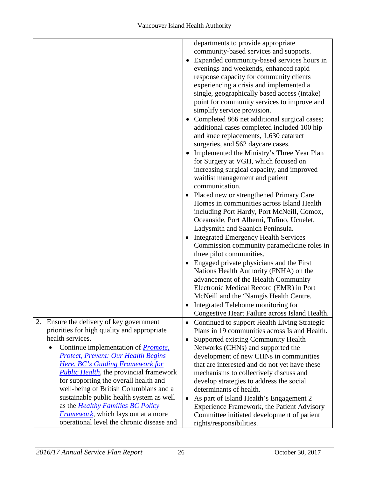|                                                                                                                                                                                                                             | departments to provide appropriate<br>community-based services and supports.<br>Expanded community-based services hours in<br>evenings and weekends, enhanced rapid<br>response capacity for community clients<br>experiencing a crisis and implemented a<br>single, geographically based access (intake)<br>point for community services to improve and |
|-----------------------------------------------------------------------------------------------------------------------------------------------------------------------------------------------------------------------------|----------------------------------------------------------------------------------------------------------------------------------------------------------------------------------------------------------------------------------------------------------------------------------------------------------------------------------------------------------|
|                                                                                                                                                                                                                             | simplify service provision.<br>Completed 866 net additional surgical cases;<br>additional cases completed included 100 hip<br>and knee replacements, 1,630 cataract                                                                                                                                                                                      |
|                                                                                                                                                                                                                             | surgeries, and 562 daycare cases.<br>Implemented the Ministry's Three Year Plan<br>$\bullet$<br>for Surgery at VGH, which focused on<br>increasing surgical capacity, and improved<br>waitlist management and patient<br>communication.                                                                                                                  |
|                                                                                                                                                                                                                             | Placed new or strengthened Primary Care<br>Homes in communities across Island Health<br>including Port Hardy, Port McNeill, Comox,<br>Oceanside, Port Alberni, Tofino, Ucuelet,<br>Ladysmith and Saanich Peninsula.<br><b>Integrated Emergency Health Services</b>                                                                                       |
|                                                                                                                                                                                                                             | Commission community paramedicine roles in<br>three pilot communities.<br>Engaged private physicians and the First<br>Nations Health Authority (FNHA) on the<br>advancement of the IHealth Community                                                                                                                                                     |
|                                                                                                                                                                                                                             | Electronic Medical Record (EMR) in Port<br>McNeill and the 'Namgis Health Centre.<br>Integrated Telehome monitoring for<br>Congestive Heart Failure across Island Health.                                                                                                                                                                                |
| Ensure the delivery of key government<br>2.<br>priorities for high quality and appropriate<br>health services.<br>Continue implementation of <i>Promote</i> ,                                                               | Continued to support Health Living Strategic<br>$\bullet$<br>Plans in 19 communities across Island Health.<br>Supported existing Community Health<br>$\bullet$<br>Networks (CHNs) and supported the                                                                                                                                                      |
| <b>Protect, Prevent: Our Health Begins</b><br><b>Here. BC's Guiding Framework for</b><br><i>Public Health</i> , the provincial framework<br>for supporting the overall health and<br>well-being of British Columbians and a | development of new CHNs in communities<br>that are interested and do not yet have these<br>mechanisms to collectively discuss and<br>develop strategies to address the social<br>determinants of health.                                                                                                                                                 |
| sustainable public health system as well<br>as the <i>Healthy Families BC Policy</i><br><b>Framework</b> , which lays out at a more<br>operational level the chronic disease and                                            | As part of Island Health's Engagement 2<br>$\bullet$<br>Experience Framework, the Patient Advisory<br>Committee initiated development of patient<br>rights/responsibilities.                                                                                                                                                                             |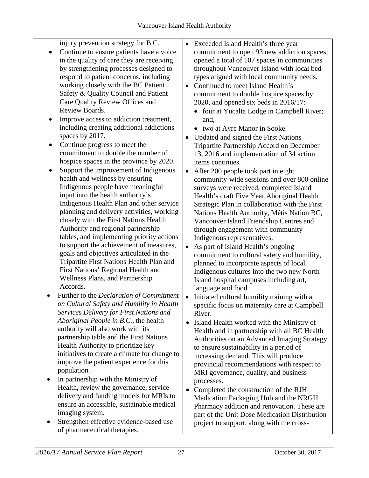| $\bullet$ | injury prevention strategy for B.C.<br>Continue to ensure patients have a voice<br>in the quality of care they are receiving<br>by strengthening processes designed to<br>respond to patient concerns, including<br>working closely with the BC Patient<br>Safety & Quality Council and Patient<br>Care Quality Review Offices and<br>Review Boards.<br>Improve access to addiction treatment,<br>including creating additional addictions<br>spaces by 2017.<br>Continue progress to meet the<br>commitment to double the number of<br>hospice spaces in the province by 2020.<br>Support the improvement of Indigenous<br>health and wellness by ensuring<br>Indigenous people have meaningful<br>input into the health authority's<br>Indigenous Health Plan and other service<br>planning and delivery activities, working<br>closely with the First Nations Health<br>Authority and regional partnership<br>tables, and implementing priority actions<br>to support the achievement of measures,<br>goals and objectives articulated in the<br>Tripartite First Nations Health Plan and<br>First Nations' Regional Health and<br><b>Wellness Plans, and Partnership</b><br>Accords.<br>Further to the Declaration of Commitment<br>on Cultural Safety and Humility in Health<br>Services Delivery for First Nations and<br>Aboriginal People in B.C., the health<br>authority will also work with its<br>partnership table and the First Nations<br>Health Authority to prioritize key<br>initiatives to create a climate for change to<br>improve the patient experience for this<br>population. | Exceeded Island Health's three year<br>commitment to open 93 new addiction spaces;<br>opened a total of 107 spaces in communities<br>throughout Vancouver Island with local bed<br>types aligned with local community needs.<br>Continued to meet Island Health's<br>$\bullet$<br>commitment to double hospice spaces by<br>2020, and opened six beds in 2016/17:<br>four at Yucalta Lodge in Campbell River;<br>$\bullet$<br>and,<br>• two at Ayre Manor in Sooke.<br>Updated and signed the First Nations<br>$\bullet$<br>Tripartite Partnership Accord on December<br>13, 2016 and implementation of 34 action<br>items continues.<br>After 200 people took part in eight<br>community-wide sessions and over 800 online<br>surveys were received, completed Island<br>Health's draft Five Year Aboriginal Health<br>Strategic Plan in collaboration with the First<br>Nations Health Authority, Métis Nation BC,<br>Vancouver Island Friendship Centres and<br>through engagement with community<br>Indigenous representatives.<br>As part of Island Health's ongoing<br>commitment to cultural safety and humility,<br>planned to incorporate aspects of local<br>Indigenous cultures into the two new North<br>Island hospital campuses including art,<br>language and food.<br>Initiated cultural humility training with a<br>$\bullet$<br>specific focus on maternity care at Campbell<br>River.<br>Island Health worked with the Ministry of<br>$\bullet$<br>Health and in partnership with all BC Health<br>Authorities on an Advanced Imaging Strategy<br>to ensure sustainability in a period of<br>increasing demand. This will produce<br>provincial recommendations with respect to |
|-----------|--------------------------------------------------------------------------------------------------------------------------------------------------------------------------------------------------------------------------------------------------------------------------------------------------------------------------------------------------------------------------------------------------------------------------------------------------------------------------------------------------------------------------------------------------------------------------------------------------------------------------------------------------------------------------------------------------------------------------------------------------------------------------------------------------------------------------------------------------------------------------------------------------------------------------------------------------------------------------------------------------------------------------------------------------------------------------------------------------------------------------------------------------------------------------------------------------------------------------------------------------------------------------------------------------------------------------------------------------------------------------------------------------------------------------------------------------------------------------------------------------------------------------------------------------------------------------------------------------------|----------------------------------------------------------------------------------------------------------------------------------------------------------------------------------------------------------------------------------------------------------------------------------------------------------------------------------------------------------------------------------------------------------------------------------------------------------------------------------------------------------------------------------------------------------------------------------------------------------------------------------------------------------------------------------------------------------------------------------------------------------------------------------------------------------------------------------------------------------------------------------------------------------------------------------------------------------------------------------------------------------------------------------------------------------------------------------------------------------------------------------------------------------------------------------------------------------------------------------------------------------------------------------------------------------------------------------------------------------------------------------------------------------------------------------------------------------------------------------------------------------------------------------------------------------------------------------------------------------------------------------------------------------------------------------------------------|
|           |                                                                                                                                                                                                                                                                                                                                                                                                                                                                                                                                                                                                                                                                                                                                                                                                                                                                                                                                                                                                                                                                                                                                                                                                                                                                                                                                                                                                                                                                                                                                                                                                        | MRI governance, quality, and business                                                                                                                                                                                                                                                                                                                                                                                                                                                                                                                                                                                                                                                                                                                                                                                                                                                                                                                                                                                                                                                                                                                                                                                                                                                                                                                                                                                                                                                                                                                                                                                                                                                              |

- In partnership with the Ministry of Health, review the governance, service delivery and funding models for MRIs to ensure an accessible, sustainable medical imaging system.
- Strengthen effective evidence-based use of pharmaceutical therapies.
- Completed the construction of the RJH Medication Packaging Hub and the NRGH Pharmacy addition and renovation. These are part of the Unit Dose Medication Distribution project to support, along with the cross-

processes.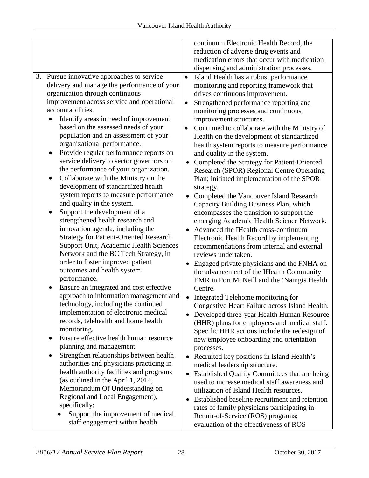|                                                      | continuum Electronic Health Record, the                    |
|------------------------------------------------------|------------------------------------------------------------|
|                                                      | reduction of adverse drug events and                       |
|                                                      | medication errors that occur with medication               |
|                                                      | dispensing and administration processes.                   |
| 3. Pursue innovative approaches to service           | Island Health has a robust performance<br>$\bullet$        |
| delivery and manage the performance of your          | monitoring and reporting framework that                    |
| organization through continuous                      |                                                            |
|                                                      | drives continuous improvement.                             |
| improvement across service and operational           | Strengthened performance reporting and<br>$\bullet$        |
| accountabilities.                                    | monitoring processes and continuous                        |
| Identify areas in need of improvement                | improvement structures.                                    |
| based on the assessed needs of your                  | Continued to collaborate with the Ministry of<br>$\bullet$ |
| population and an assessment of your                 | Health on the development of standardized                  |
| organizational performance.                          | health system reports to measure performance               |
| Provide regular performance reports on<br>$\bullet$  | and quality in the system.                                 |
| service delivery to sector governors on              | Completed the Strategy for Patient-Oriented                |
| the performance of your organization.                | <b>Research (SPOR) Regional Centre Operating</b>           |
| Collaborate with the Ministry on the<br>$\bullet$    | Plan; initiated implementation of the SPOR                 |
| development of standardized health                   | strategy.                                                  |
| system reports to measure performance                | Completed the Vancouver Island Research<br>$\bullet$       |
| and quality in the system.                           | Capacity Building Business Plan, which                     |
| Support the development of a                         | encompasses the transition to support the                  |
| strengthened health research and                     | emerging Academic Health Science Network.                  |
| innovation agenda, including the                     | Advanced the IHealth cross-continuum                       |
| <b>Strategy for Patient-Oriented Research</b>        | Electronic Health Record by implementing                   |
| Support Unit, Academic Health Sciences               | recommendations from internal and external                 |
| Network and the BC Tech Strategy, in                 | reviews undertaken.                                        |
| order to foster improved patient                     | Engaged private physicians and the FNHA on                 |
| outcomes and health system                           | the advancement of the IHealth Community                   |
| performance.                                         | EMR in Port McNeill and the 'Namgis Health                 |
| Ensure an integrated and cost effective<br>$\bullet$ | Centre.                                                    |
| approach to information management and               |                                                            |
| technology, including the continued                  | Integrated Telehome monitoring for                         |
| implementation of electronic medical                 | Congestive Heart Failure across Island Health.             |
| records, telehealth and home health                  | • Developed three-year Health Human Resource               |
| monitoring.                                          | (HHR) plans for employees and medical staff.               |
| Ensure effective health human resource               | Specific HHR actions include the redesign of               |
| $\bullet$                                            | new employee onboarding and orientation                    |
| planning and management.                             | processes.                                                 |
| Strengthen relationships between health<br>$\bullet$ | Recruited key positions in Island Health's                 |
| authorities and physicians practicing in             | medical leadership structure.                              |
| health authority facilities and programs             | Established Quality Committees that are being<br>$\bullet$ |
| (as outlined in the April 1, 2014,                   | used to increase medical staff awareness and               |
| Memorandum Of Understanding on                       | utilization of Island Health resources.                    |
| Regional and Local Engagement),                      | Established baseline recruitment and retention<br>٠        |
| specifically:                                        | rates of family physicians participating in                |
| Support the improvement of medical                   | Return-of-Service (ROS) programs;                          |
| staff engagement within health                       | evaluation of the effectiveness of ROS                     |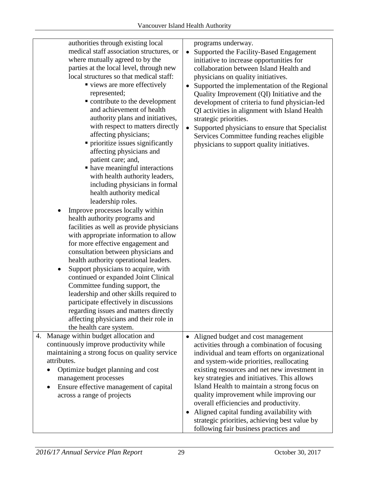| authorities through existing local<br>medical staff association structures, or<br>where mutually agreed to by the<br>parties at the local level, through new<br>local structures so that medical staff:<br>• views are more effectively<br>represented;<br>• contribute to the development<br>and achievement of health<br>authority plans and initiatives,<br>with respect to matters directly<br>affecting physicians;<br>• prioritize issues significantly<br>affecting physicians and<br>patient care; and,<br>• have meaningful interactions<br>with health authority leaders,<br>including physicians in formal<br>health authority medical<br>leadership roles.<br>Improve processes locally within<br>health authority programs and<br>facilities as well as provide physicians<br>with appropriate information to allow<br>for more effective engagement and<br>consultation between physicians and<br>health authority operational leaders.<br>Support physicians to acquire, with<br>continued or expanded Joint Clinical<br>Committee funding support, the<br>leadership and other skills required to<br>participate effectively in discussions<br>regarding issues and matters directly<br>affecting physicians and their role in<br>the health care system. | programs underway.<br>Supported the Facility-Based Engagement<br>$\bullet$<br>initiative to increase opportunities for<br>collaboration between Island Health and<br>physicians on quality initiatives.<br>Supported the implementation of the Regional<br>Quality Improvement (QI) Initiative and the<br>development of criteria to fund physician-led<br>QI activities in alignment with Island Health<br>strategic priorities.<br>Supported physicians to ensure that Specialist<br>$\bullet$<br>Services Committee funding reaches eligible<br>physicians to support quality initiatives. |
|---------------------------------------------------------------------------------------------------------------------------------------------------------------------------------------------------------------------------------------------------------------------------------------------------------------------------------------------------------------------------------------------------------------------------------------------------------------------------------------------------------------------------------------------------------------------------------------------------------------------------------------------------------------------------------------------------------------------------------------------------------------------------------------------------------------------------------------------------------------------------------------------------------------------------------------------------------------------------------------------------------------------------------------------------------------------------------------------------------------------------------------------------------------------------------------------------------------------------------------------------------------------------|-----------------------------------------------------------------------------------------------------------------------------------------------------------------------------------------------------------------------------------------------------------------------------------------------------------------------------------------------------------------------------------------------------------------------------------------------------------------------------------------------------------------------------------------------------------------------------------------------|
| 4. Manage within budget allocation and<br>continuously improve productivity while<br>maintaining a strong focus on quality service<br>attributes.<br>Optimize budget planning and cost<br>management processes<br>Ensure effective management of capital<br>across a range of projects                                                                                                                                                                                                                                                                                                                                                                                                                                                                                                                                                                                                                                                                                                                                                                                                                                                                                                                                                                                    | • Aligned budget and cost management<br>activities through a combination of focusing<br>individual and team efforts on organizational<br>and system-wide priorities, reallocating<br>existing resources and net new investment in<br>key strategies and initiatives. This allows<br>Island Health to maintain a strong focus on<br>quality improvement while improving our<br>overall efficiencies and productivity.<br>Aligned capital funding availability with<br>$\bullet$<br>strategic priorities, achieving best value by<br>following fair business practices and                      |